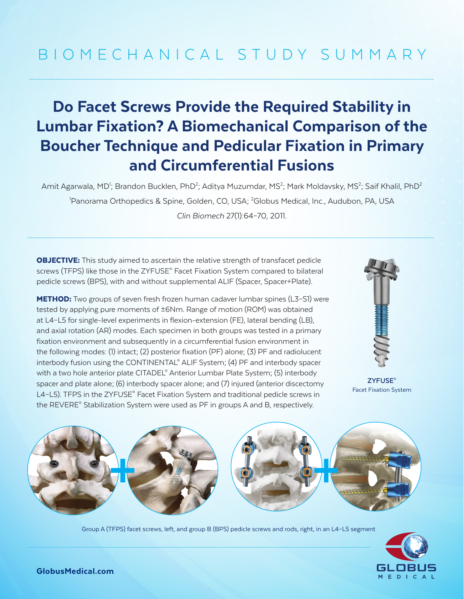## BIOMECHANICAL STUDY SUMMARY

## Do Facet Screws Provide the Required Stability in Lumbar Fixation? A Biomechanical Comparison of the Boucher Technique and Pedicular Fixation in Primary and Circumferential Fusions

Amit Agarwala, MD<sup>1</sup>; Brandon Bucklen, PhD<sup>2</sup>; Aditya Muzumdar, MS<sup>2</sup>; Mark Moldavsky, MS<sup>2</sup>; Saif Khalil, PhD<sup>2</sup> <sup>1</sup> Panorama Orthopedics & Spine, Golden, CO, USA; <sup>2</sup>Globus Medical, Inc., Audubon, PA, USA *Clin Biomech* 27(1):64–70, 2011.

**OBJECTIVE:** This study aimed to ascertain the relative strength of transfacet pedicle screws (TFPS) like those in the ZYFUSE® Facet Fixation System compared to bilateral pedicle screws (BPS), with and without supplemental ALIF (Spacer, Spacer+Plate).

**METHOD:** Two groups of seven fresh frozen human cadaver lumbar spines (L3-S1) were tested by applying pure moments of ±6Nm. Range of motion (ROM) was obtained at L4–L5 for single-level experiments in flexion-extension (FE), lateral bending (LB), and axial rotation (AR) modes. Each specimen in both groups was tested in a primary fixation environment and subsequently in a circumferential fusion environment in the following modes: (1) intact; (2) posterior fixation (PF) alone; (3) PF and radiolucent interbody fusion using the CONTINENTAL<sup>®</sup> ALIF System; (4) PF and interbody spacer with a two hole anterior plate CITADEL<sup>®</sup> Anterior Lumbar Plate System; (5) interbody spacer and plate alone; (6) interbody spacer alone; and (7) injured (anterior discectomy L4-L5). TFPS in the ZYFUSE® Facet Fixation System and traditional pedicle screws in the REVERE<sup>®</sup> Stabilization System were used as PF in groups A and B, respectively.



**ZYFUSE®** Facet Fixation System



Group A (TFPS) facet screws, left, and group B (BPS) pedicle screws and rods, right, in an L4–L5 segment